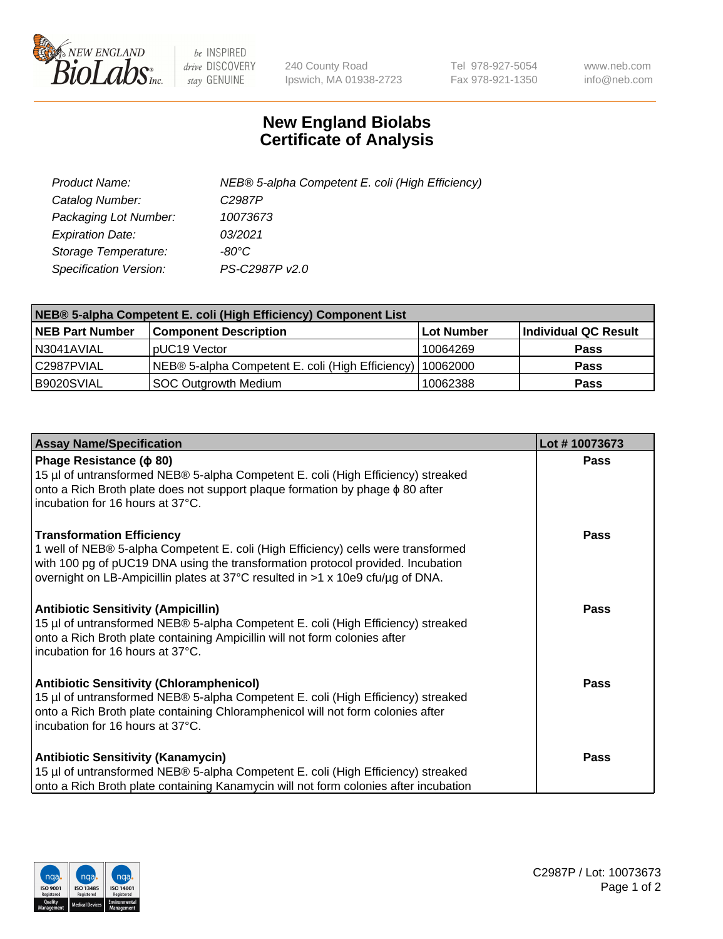

 $be$  INSPIRED drive DISCOVERY stay GENUINE

240 County Road Ipswich, MA 01938-2723 Tel 978-927-5054 Fax 978-921-1350 www.neb.com info@neb.com

## **New England Biolabs Certificate of Analysis**

| Product Name:                 | NEB® 5-alpha Competent E. coli (High Efficiency) |
|-------------------------------|--------------------------------------------------|
| Catalog Number:               | C <sub>2987</sub> P                              |
| Packaging Lot Number:         | 10073673                                         |
| <b>Expiration Date:</b>       | 03/2021                                          |
| Storage Temperature:          | -80°C                                            |
| <b>Specification Version:</b> | PS-C2987P v2.0                                   |

| NEB® 5-alpha Competent E. coli (High Efficiency) Component List |                                                  |            |                      |  |
|-----------------------------------------------------------------|--------------------------------------------------|------------|----------------------|--|
| <b>NEB Part Number</b>                                          | <b>Component Description</b>                     | Lot Number | Individual QC Result |  |
| N3041AVIAL                                                      | pUC19 Vector                                     | 10064269   | <b>Pass</b>          |  |
| C2987PVIAL                                                      | NEB® 5-alpha Competent E. coli (High Efficiency) | 10062000   | <b>Pass</b>          |  |
| B9020SVIAL                                                      | <b>SOC Outgrowth Medium</b>                      | 10062388   | <b>Pass</b>          |  |

| <b>Assay Name/Specification</b>                                                                                                                                                                                                                                                            | Lot #10073673 |
|--------------------------------------------------------------------------------------------------------------------------------------------------------------------------------------------------------------------------------------------------------------------------------------------|---------------|
| Phage Resistance ( $\phi$ 80)<br>15 µl of untransformed NEB® 5-alpha Competent E. coli (High Efficiency) streaked<br>onto a Rich Broth plate does not support plaque formation by phage $\phi$ 80 after<br>incubation for 16 hours at 37°C.                                                | <b>Pass</b>   |
| <b>Transformation Efficiency</b><br>1 well of NEB® 5-alpha Competent E. coli (High Efficiency) cells were transformed<br>with 100 pg of pUC19 DNA using the transformation protocol provided. Incubation<br>overnight on LB-Ampicillin plates at 37°C resulted in >1 x 10e9 cfu/µg of DNA. | <b>Pass</b>   |
| <b>Antibiotic Sensitivity (Ampicillin)</b><br>15 µl of untransformed NEB® 5-alpha Competent E. coli (High Efficiency) streaked<br>onto a Rich Broth plate containing Ampicillin will not form colonies after<br>incubation for 16 hours at 37°C.                                           | Pass          |
| <b>Antibiotic Sensitivity (Chloramphenicol)</b><br>15 µl of untransformed NEB® 5-alpha Competent E. coli (High Efficiency) streaked<br>onto a Rich Broth plate containing Chloramphenicol will not form colonies after<br>incubation for 16 hours at 37°C.                                 | Pass          |
| <b>Antibiotic Sensitivity (Kanamycin)</b><br>15 µl of untransformed NEB® 5-alpha Competent E. coli (High Efficiency) streaked<br>onto a Rich Broth plate containing Kanamycin will not form colonies after incubation                                                                      | Pass          |